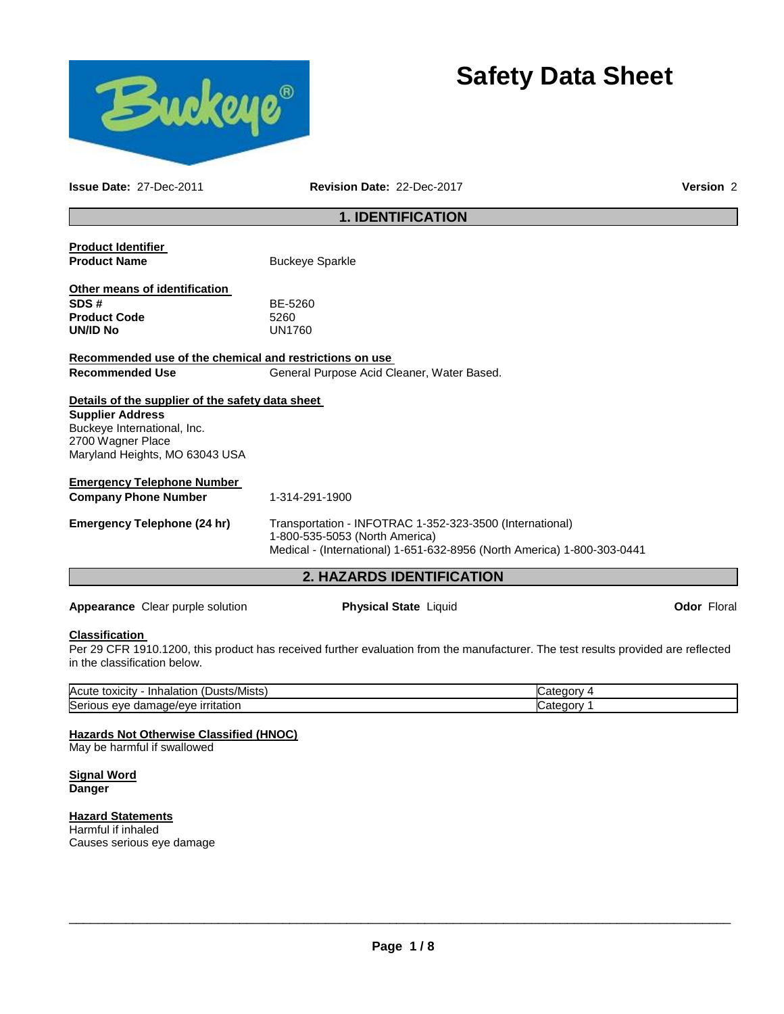

# **Safety Data Sheet**

**Issue Date:** 27-Dec-2011 **Revision Date:** 22-Dec-2017 **Version** 2

# **1. IDENTIFICATION**

| <b>Product Identifier</b>                               |                                                                         |                    |  |
|---------------------------------------------------------|-------------------------------------------------------------------------|--------------------|--|
| <b>Product Name</b>                                     | <b>Buckeye Sparkle</b>                                                  |                    |  |
| <b>Other means of identification</b>                    |                                                                         |                    |  |
| SDS#                                                    | BE-5260                                                                 |                    |  |
| <b>Product Code</b>                                     | 5260                                                                    |                    |  |
| <b>UN/ID No</b>                                         | <b>UN1760</b>                                                           |                    |  |
| Recommended use of the chemical and restrictions on use |                                                                         |                    |  |
| <b>Recommended Use</b>                                  | General Purpose Acid Cleaner, Water Based.                              |                    |  |
| Details of the supplier of the safety data sheet        |                                                                         |                    |  |
| <b>Supplier Address</b>                                 |                                                                         |                    |  |
| Buckeye International, Inc.                             |                                                                         |                    |  |
| 2700 Wagner Place                                       |                                                                         |                    |  |
| Maryland Heights, MO 63043 USA                          |                                                                         |                    |  |
| <b>Emergency Telephone Number</b>                       |                                                                         |                    |  |
| <b>Company Phone Number</b>                             | 1-314-291-1900                                                          |                    |  |
| <b>Emergency Telephone (24 hr)</b>                      | Transportation - INFOTRAC 1-352-323-3500 (International)                |                    |  |
|                                                         | 1-800-535-5053 (North America)                                          |                    |  |
|                                                         | Medical - (International) 1-651-632-8956 (North America) 1-800-303-0441 |                    |  |
|                                                         | <b>2. HAZARDS IDENTIFICATION</b>                                        |                    |  |
| <b>Appearance</b> Clear purple solution                 | <b>Physical State Liquid</b>                                            | <b>Odor Floral</b> |  |

#### **Classification**

Per 29 CFR 1910.1200, this product has received further evaluation from the manufacturer. The test results provided are reflected in the classification below.

| $\mathbf{r}$<br>Acute<br>∵/Mists.<br>toxicity<br><b>Inhalation</b><br>(Dusts/ |                     |
|-------------------------------------------------------------------------------|---------------------|
| Serious<br>made/eve.<br><i><b>urritation</b></i><br>eve<br>dai                | ∽<br>.<br>בזרי<br>. |

## **Hazards Not Otherwise Classified (HNOC)**

May be harmful if swallowed

**Signal Word Danger** 

**Hazard Statements** Harmful if inhaled Causes serious eye damage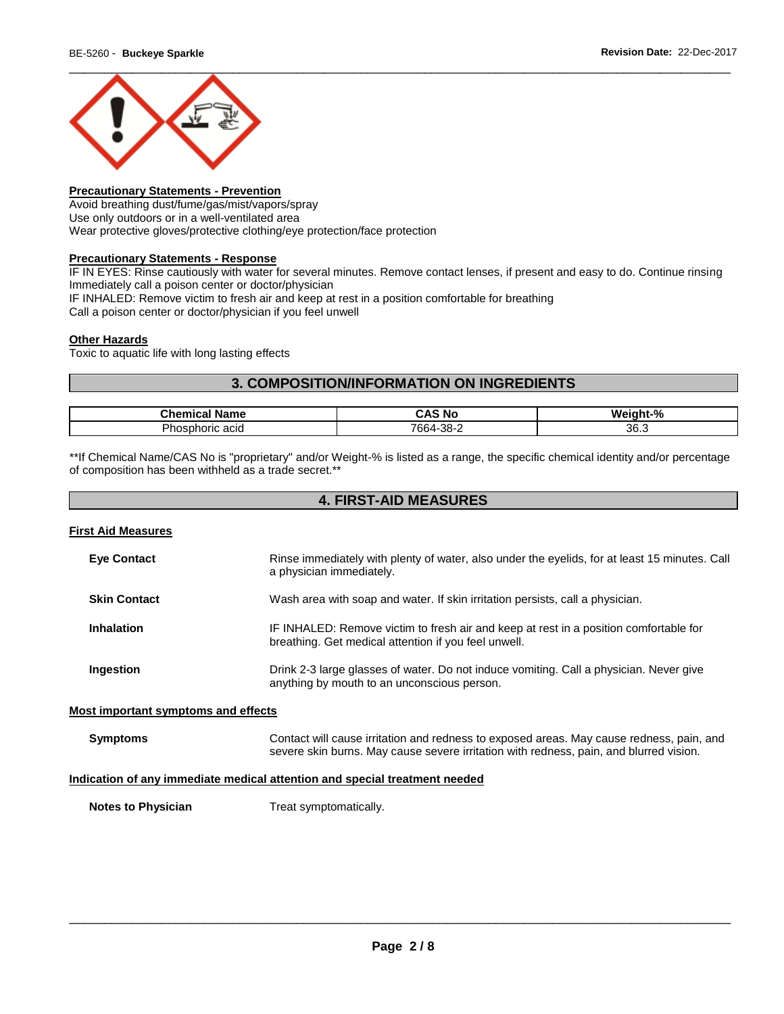

#### **Precautionary Statements - Prevention**

Avoid breathing dust/fume/gas/mist/vapors/spray Use only outdoors or in a well-ventilated area Wear protective gloves/protective clothing/eye protection/face protection

#### **Precautionary Statements - Response**

IF IN EYES: Rinse cautiously with water for several minutes. Remove contact lenses, if present and easy to do. Continue rinsing Immediately call a poison center or doctor/physician

IF INHALED: Remove victim to fresh air and keep at rest in a position comfortable for breathing Call a poison center or doctor/physician if you feel unwell

#### **Other Hazards**

Toxic to aquatic life with long lasting effects

# **3. COMPOSITION/INFORMATION ON INGREDIENTS**

| .<br>- - --<br>ame                  | $\mathbf{r}$<br>⊺ NC            | n.<br>w.<br>70 |
|-------------------------------------|---------------------------------|----------------|
| -<br>acıd<br>norio<br>n<br>___<br>. | ົດເມ<br>7664-.<br>30.<br>.<br>. | 36.3           |

\*\*If Chemical Name/CAS No is "proprietary" and/or Weight-% is listed as a range, the specific chemical identity and/or percentage of composition has been withheld as a trade secret.\*\*

# **4. FIRST-AID MEASURES**

#### **First Aid Measures**

| <b>Eve Contact</b>                  | Rinse immediately with plenty of water, also under the eyelids, for at least 15 minutes. Call<br>a physician immediately.                                                          |
|-------------------------------------|------------------------------------------------------------------------------------------------------------------------------------------------------------------------------------|
| <b>Skin Contact</b>                 | Wash area with soap and water. If skin irritation persists, call a physician.                                                                                                      |
| <b>Inhalation</b>                   | IF INHALED: Remove victim to fresh air and keep at rest in a position comfortable for<br>breathing. Get medical attention if you feel unwell.                                      |
| Ingestion                           | Drink 2-3 large glasses of water. Do not induce vomiting. Call a physician. Never give<br>anything by mouth to an unconscious person.                                              |
| Most important symptoms and effects |                                                                                                                                                                                    |
| <b>Symptoms</b>                     | Contact will cause irritation and redness to exposed areas. May cause redness, pain, and<br>severe skin burns. May cause severe irritation with redness, pain, and blurred vision. |

#### **Indication of any immediate medical attention and special treatment needed**

**Notes to Physician**  Treat symptomatically.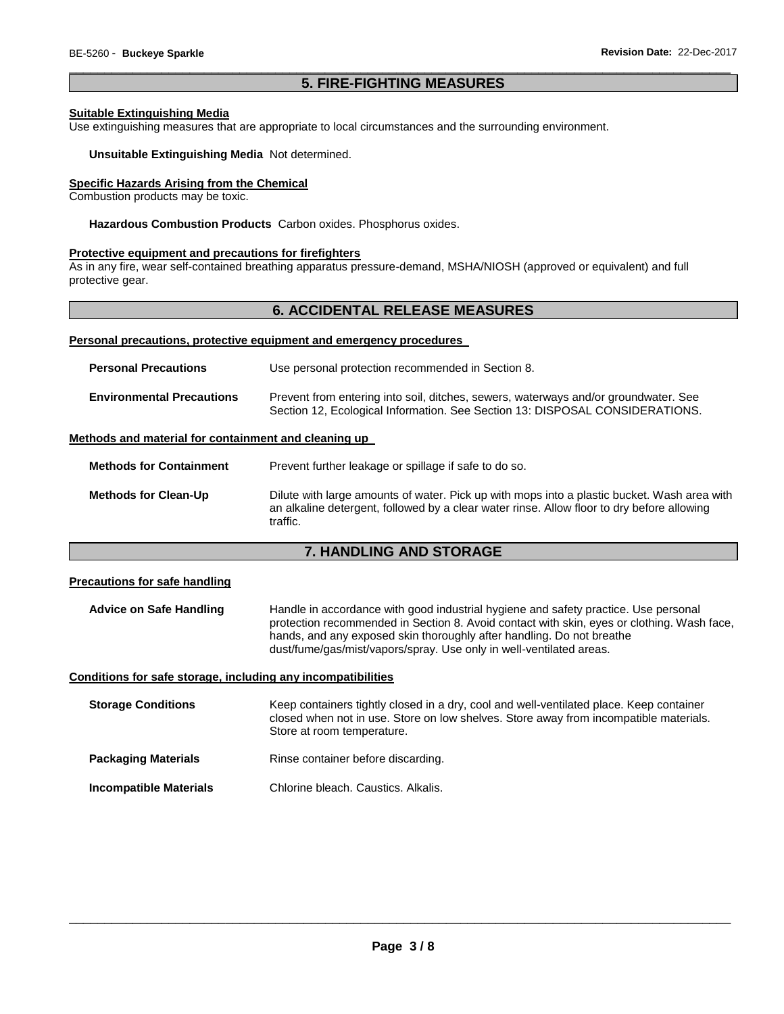### \_\_\_\_\_\_\_\_\_\_\_\_\_\_\_\_\_\_\_\_\_\_\_\_\_\_\_\_\_\_\_\_\_\_\_\_\_\_\_\_\_\_\_\_\_\_\_\_\_\_\_\_\_\_\_\_\_\_\_\_\_\_\_\_\_\_\_\_\_\_\_\_\_\_\_\_\_\_\_\_\_\_\_\_\_\_\_\_\_\_\_\_\_ **5. FIRE-FIGHTING MEASURES**

#### **Suitable Extinguishing Media**

Use extinguishing measures that are appropriate to local circumstances and the surrounding environment.

#### **Unsuitable Extinguishing Media** Not determined.

#### **Specific Hazards Arising from the Chemical**

Combustion products may be toxic.

**Hazardous Combustion Products** Carbon oxides. Phosphorus oxides.

#### **Protective equipment and precautions for firefighters**

As in any fire, wear self-contained breathing apparatus pressure-demand, MSHA/NIOSH (approved or equivalent) and full protective gear.

# **6. ACCIDENTAL RELEASE MEASURES**

#### **Personal precautions, protective equipment and emergency procedures**

| <b>Personal Precautions</b>      | Use personal protection recommended in Section 8.                                                                                                                   |  |
|----------------------------------|---------------------------------------------------------------------------------------------------------------------------------------------------------------------|--|
| <b>Environmental Precautions</b> | Prevent from entering into soil, ditches, sewers, waterways and/or groundwater. See<br>Section 12, Ecological Information. See Section 13: DISPOSAL CONSIDERATIONS. |  |

#### **Methods and material for containment and cleaning up**

| <b>Methods for Containment</b> | Prevent further leakage or spillage if safe to do so.                                                                                                                                                 |  |
|--------------------------------|-------------------------------------------------------------------------------------------------------------------------------------------------------------------------------------------------------|--|
| <b>Methods for Clean-Up</b>    | Dilute with large amounts of water. Pick up with mops into a plastic bucket. Wash area with<br>an alkaline detergent, followed by a clear water rinse. Allow floor to dry before allowing<br>traffic. |  |

# **7. HANDLING AND STORAGE**

#### **Precautions for safe handling**

**Advice on Safe Handling** Handle in accordance with good industrial hygiene and safety practice. Use personal protection recommended in Section 8. Avoid contact with skin, eyes or clothing. Wash face, hands, and any exposed skin thoroughly after handling. Do not breathe dust/fume/gas/mist/vapors/spray. Use only in well-ventilated areas.

#### **Conditions for safe storage, including any incompatibilities**

| <b>Storage Conditions</b>  | Keep containers tightly closed in a dry, cool and well-ventilated place. Keep container<br>closed when not in use. Store on low shelves. Store away from incompatible materials.<br>Store at room temperature. |
|----------------------------|----------------------------------------------------------------------------------------------------------------------------------------------------------------------------------------------------------------|
| <b>Packaging Materials</b> | Rinse container before discarding.                                                                                                                                                                             |
| Incompatible Materials     | Chlorine bleach, Caustics, Alkalis,                                                                                                                                                                            |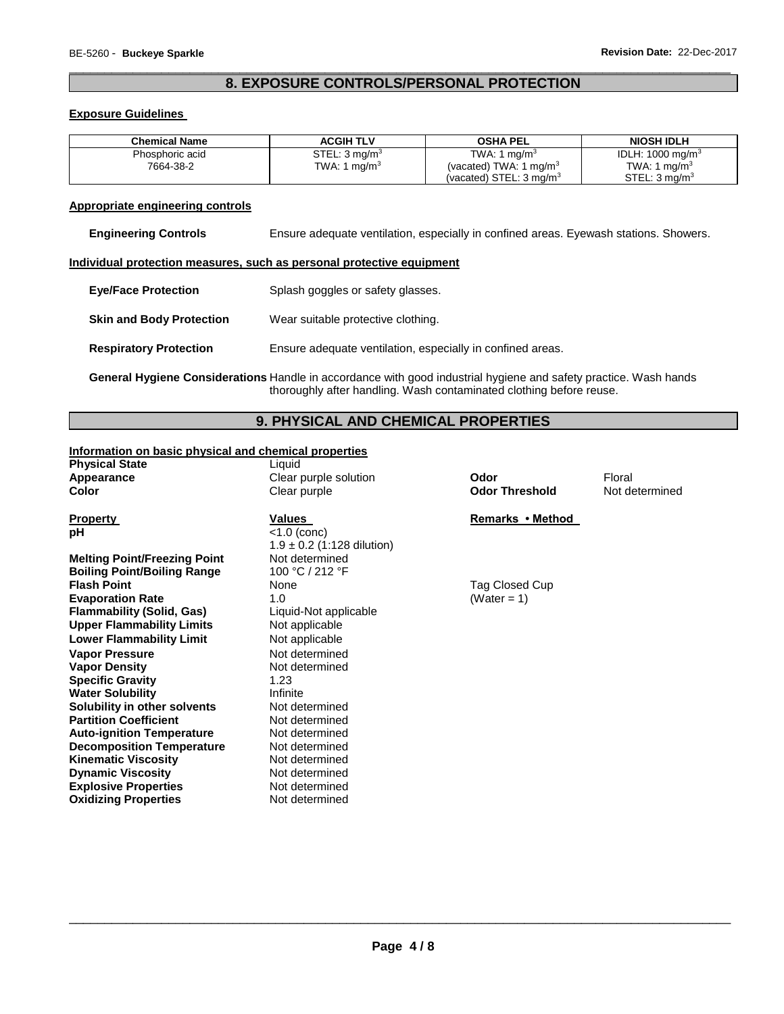## \_\_\_\_\_\_\_\_\_\_\_\_\_\_\_\_\_\_\_\_\_\_\_\_\_\_\_\_\_\_\_\_\_\_\_\_\_\_\_\_\_\_\_\_\_\_\_\_\_\_\_\_\_\_\_\_\_\_\_\_\_\_\_\_\_\_\_\_\_\_\_\_\_\_\_\_\_\_\_\_\_\_\_\_\_\_\_\_\_\_\_\_\_ **8. EXPOSURE CONTROLS/PERSONAL PROTECTION**

#### **Exposure Guidelines**

| <b>Chemical Name</b> | <b>ACGIH TLV</b>          | <b>OSHA PEL</b>                    | <b>NIOSH IDLH</b>           |
|----------------------|---------------------------|------------------------------------|-----------------------------|
| Phosphoric acid      | STEL: 3 mg/m <sup>3</sup> | TWA: 1 mg/m <sup>3</sup>           | IDLH: $1000 \text{ mg/m}^3$ |
| 7664-38-2            | TWA: 1 mg/m <sup>3</sup>  | (vacated) TWA: 1 mg/m <sup>3</sup> | TWA: 1 $mq/m3$              |
|                      |                           | (vacated) STEL: $3 \text{ mg/m}^3$ | STEL: $3 \text{ mq/m}^3$    |

#### **Appropriate engineering controls**

**Engineering Controls** Ensure adequate ventilation, especially in confined areas. Eyewash stations. Showers.

#### **Individual protection measures, such as personal protective equipment**

| <b>Eye/Face Protection</b>      | Splash goggles or safety glasses.                          |
|---------------------------------|------------------------------------------------------------|
| <b>Skin and Body Protection</b> | Wear suitable protective clothing.                         |
| <b>Respiratory Protection</b>   | Ensure adequate ventilation, especially in confined areas. |

**General Hygiene Considerations** Handle in accordance with good industrial hygiene and safety practice. Wash hands thoroughly after handling. Wash contaminated clothing before reuse.

# **9. PHYSICAL AND CHEMICAL PROPERTIES**

#### **Information on basic physical and chemical properties**

| <b>Physical State</b> |  |
|-----------------------|--|
| Appearance            |  |
| Color                 |  |

**Melting Point/Freezing Point Mot determined Boiling Point/Boiling Range 100 °C/212 °F Boiling Point/Boiling Range Flash Point Evaporation Rate 1.0 CONSERVING THE CONSERVANCE (Water = 1) CONSERVING THE CONSERVANCE OF A CONSERVANCE CONSERVANCE (Water = 1) Flammability (Solid, Gas)** Liquid-Not applicable **Upper Flammability Limits** Not applicable **Lower Flammability Limit** Not applicable **Vapor Pressure Not determined Not determined Vapor Density Not determined Specific Gravity** 1.23 **Water Solubility Infinite Solubility in other solvents** Not determined **Partition Coefficient Not determined Auto-ignition Temperature** Not determined **Decomposition Temperature** Not determined **Kinematic Viscosity Not determined Dynamic Viscosity Not determined Explosive Properties** Not determined **Oxidizing Properties** Not determined

Liquid **Appearance 2 Clear purple solution <b>Clear purple solution Clear purple solution Odor Clear Ploral Color** Clear purple **Odor Threshold** Not determined

**Property Construction State Construction Values Remarks • Method Remarks • Method pH**  $\sqrt{1.0 \text{ (conc)}}$ 1.9 ± 0.2 (1:128 dilution) **Flag Closed Cup Point 2** Tag Closed Cup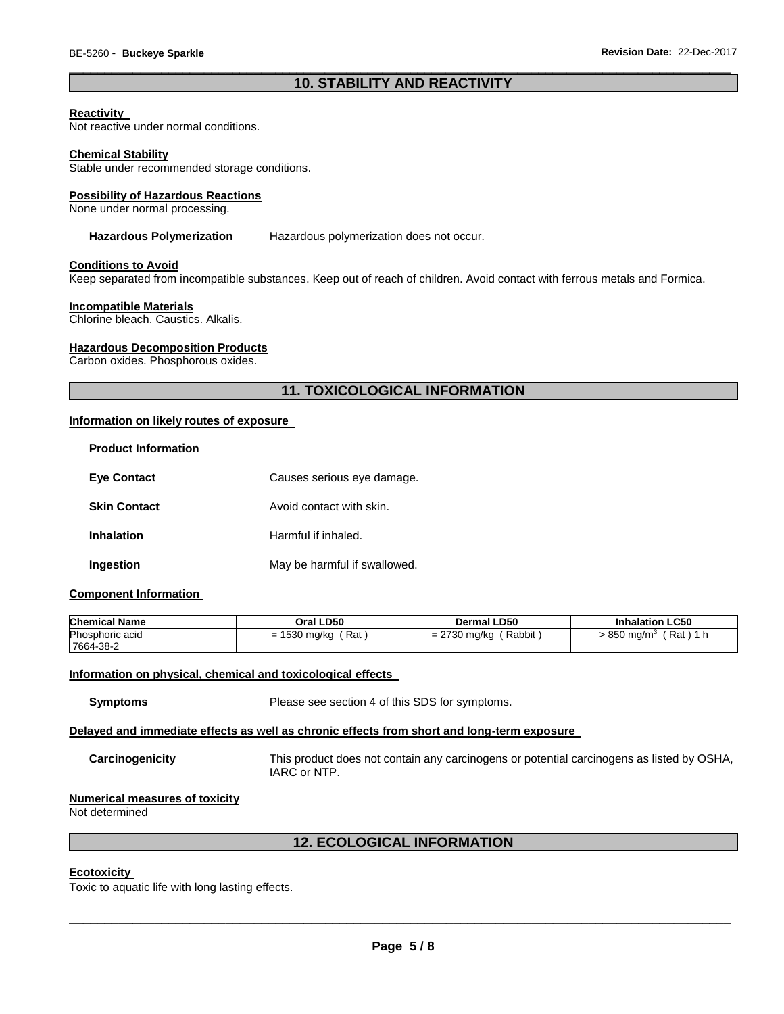# \_\_\_\_\_\_\_\_\_\_\_\_\_\_\_\_\_\_\_\_\_\_\_\_\_\_\_\_\_\_\_\_\_\_\_\_\_\_\_\_\_\_\_\_\_\_\_\_\_\_\_\_\_\_\_\_\_\_\_\_\_\_\_\_\_\_\_\_\_\_\_\_\_\_\_\_\_\_\_\_\_\_\_\_\_\_\_\_\_\_\_\_\_ **10. STABILITY AND REACTIVITY**

#### **Reactivity**

Not reactive under normal conditions.

#### **Chemical Stability**

Stable under recommended storage conditions.

#### **Possibility of Hazardous Reactions**

None under normal processing.

#### **Hazardous Polymerization** Hazardous polymerization does not occur.

#### **Conditions to Avoid**

Keep separated from incompatible substances. Keep out of reach of children. Avoid contact with ferrous metals and Formica.

#### **Incompatible Materials**

Chlorine bleach. Caustics. Alkalis.

#### **Hazardous Decomposition Products**

Carbon oxides. Phosphorous oxides.

# **11. TOXICOLOGICAL INFORMATION**

#### **Information on likely routes of exposure**

| <b>Product Information</b> |                              |
|----------------------------|------------------------------|
| <b>Eye Contact</b>         | Causes serious eye damage.   |
| <b>Skin Contact</b>        | Avoid contact with skin.     |
| <b>Inhalation</b>          | Harmful if inhaled.          |
| Ingestion                  | May be harmful if swallowed. |

#### **Component Information**

| <b>Chemical Name</b> | Oral LD50            | Dermal LD50             | <b>Inhalation LC50</b>                  |
|----------------------|----------------------|-------------------------|-----------------------------------------|
| Phosphoric acid      | $= 1530$ mg/kg (Rat) | $= 2730$ mg/kg (Rabbit) | $(Rat)$ 1 h<br>$>850$ mg/m <sup>3</sup> |
| 7664-38-2            |                      |                         |                                         |

#### **Information on physical, chemical and toxicological effects**

**Symptoms** Please see section 4 of this SDS for symptoms.

#### **Delayed and immediate effects as well as chronic effects from short and long-term exposure**

**Carcinogenicity** This product does not contain any carcinogens or potential carcinogens as listed by OSHA, IARC or NTP.

#### **Numerical measures of toxicity**

Not determined

# **12. ECOLOGICAL INFORMATION**

#### **Ecotoxicity**

Toxic to aquatic life with long lasting effects.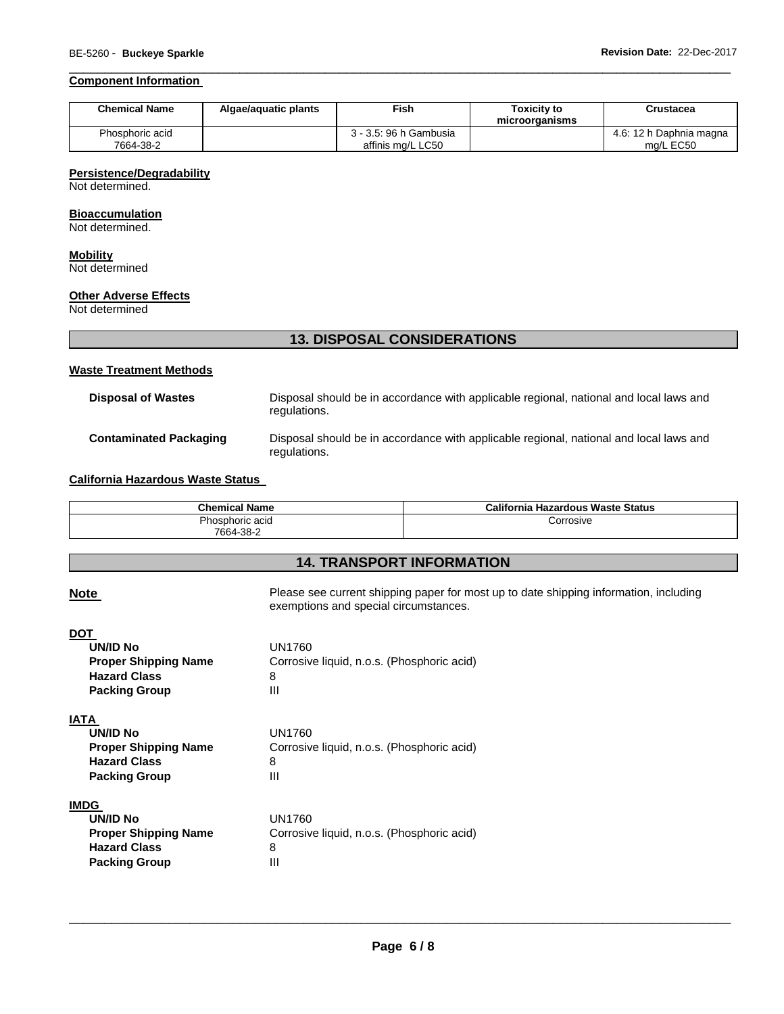# **Component Information**

| <b>Chemical Name</b>         | Algae/aguatic plants | ™ish                                        | <b>Toxicity to</b><br>microorganisms | Crustacea                            |
|------------------------------|----------------------|---------------------------------------------|--------------------------------------|--------------------------------------|
| Phosphoric acid<br>7664-38-2 |                      | 3 - 3.5: 96 h Gambusia<br>affinis mɑ/L LC50 |                                      | 4.6: 12 h Daphnia magna<br>ma/L EC50 |

\_\_\_\_\_\_\_\_\_\_\_\_\_\_\_\_\_\_\_\_\_\_\_\_\_\_\_\_\_\_\_\_\_\_\_\_\_\_\_\_\_\_\_\_\_\_\_\_\_\_\_\_\_\_\_\_\_\_\_\_\_\_\_\_\_\_\_\_\_\_\_\_\_\_\_\_\_\_\_\_\_\_\_\_\_\_\_\_\_\_\_\_\_

## **Persistence/Degradability**

Not determined.

#### **Bioaccumulation**

Not determined.

# **Mobility**

Not determined

# **Other Adverse Effects**

Not determined

# **13. DISPOSAL CONSIDERATIONS**

## **Waste Treatment Methods**

| Disposal of Wastes     | Disposal should be in accordance with applicable regional, national and local laws and<br>regulations. |
|------------------------|--------------------------------------------------------------------------------------------------------|
| Contaminated Packaging | Disposal should be in accordance with applicable regional, national and local laws and<br>regulations. |

#### **California Hazardous Waste Status**

| <b>Chemical Name</b> | California Hazardous Waste Status |
|----------------------|-----------------------------------|
| Phosphoric acid      | Corrosive                         |
| 7664-38-2            |                                   |

# **14. TRANSPORT INFORMATION**

| <b>Note</b>                                                                                                  | Please see current shipping paper for most up to date shipping information, including<br>exemptions and special circumstances. |
|--------------------------------------------------------------------------------------------------------------|--------------------------------------------------------------------------------------------------------------------------------|
| <b>DOT</b><br><b>UN/ID No</b><br><b>Proper Shipping Name</b><br><b>Hazard Class</b><br><b>Packing Group</b>  | <b>UN1760</b><br>Corrosive liquid, n.o.s. (Phosphoric acid)<br>8<br>Ш                                                          |
| <b>IATA</b><br><b>UN/ID No</b><br><b>Proper Shipping Name</b><br><b>Hazard Class</b><br><b>Packing Group</b> | UN1760<br>Corrosive liquid, n.o.s. (Phosphoric acid)<br>8<br>Ш                                                                 |
| <b>IMDG</b><br><b>UN/ID No</b><br><b>Proper Shipping Name</b><br><b>Hazard Class</b><br><b>Packing Group</b> | UN1760<br>Corrosive liquid, n.o.s. (Phosphoric acid)<br>8<br>Ш                                                                 |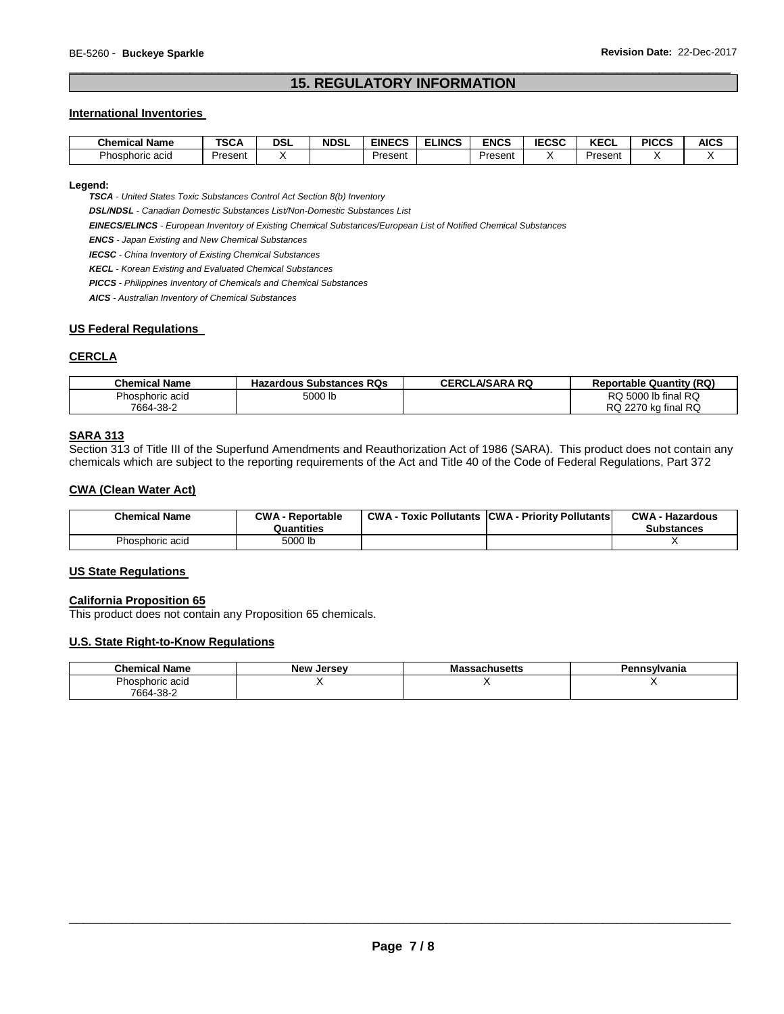# \_\_\_\_\_\_\_\_\_\_\_\_\_\_\_\_\_\_\_\_\_\_\_\_\_\_\_\_\_\_\_\_\_\_\_\_\_\_\_\_\_\_\_\_\_\_\_\_\_\_\_\_\_\_\_\_\_\_\_\_\_\_\_\_\_\_\_\_\_\_\_\_\_\_\_\_\_\_\_\_\_\_\_\_\_\_\_\_\_\_\_\_\_ **15. REGULATORY INFORMATION**

#### **International Inventories**

| Chemical Name        | <b>TSCA</b> | <b>DSL</b> | <b>NDSL</b> | <b>EINECS</b> | <b>ELINCS</b> | <b>ENCS</b> | <b>IECSC</b> | I/T<br><b>NEVL</b> | <b>PICCS</b> | <b>AICS</b> |
|----------------------|-------------|------------|-------------|---------------|---------------|-------------|--------------|--------------------|--------------|-------------|
| Phosphoric a<br>acio | Present     |            |             | Present       |               | Present     |              | Present            |              |             |

#### **Legend:**

*TSCA - United States Toxic Substances Control Act Section 8(b) Inventory* 

*DSL/NDSL - Canadian Domestic Substances List/Non-Domestic Substances List* 

*EINECS/ELINCS - European Inventory of Existing Chemical Substances/European List of Notified Chemical Substances* 

*ENCS - Japan Existing and New Chemical Substances* 

*IECSC - China Inventory of Existing Chemical Substances* 

*KECL - Korean Existing and Evaluated Chemical Substances* 

*PICCS - Philippines Inventory of Chemicals and Chemical Substances* 

*AICS - Australian Inventory of Chemical Substances* 

#### **US Federal Regulations**

# **CERCLA**

| <b>Chemical Name</b> | <b>Hazardous Substances RQs</b> | <b>CERCLA/SARA RQ</b> | <b>Reportable Quantity (RQ)</b> |
|----------------------|---------------------------------|-----------------------|---------------------------------|
| Phosphoric acid      | 5000 lb                         |                       | RQ 5000 lb final RQ             |
| 7664-38-2            |                                 |                       | RQ 2270 kg final RQ             |

#### **SARA 313**

Section 313 of Title III of the Superfund Amendments and Reauthorization Act of 1986 (SARA). This product does not contain any chemicals which are subject to the reporting requirements of the Act and Title 40 of the Code of Federal Regulations, Part 372

#### **CWA (Clean Water Act)**

| <b>Chemical Name</b> | <b>CWA - Reportable</b><br>Quantities | <b>CWA - Toxic Pollutants CWA - Priority Pollutants</b> | <b>CWA - Hazardous</b><br><b>Substances</b> |
|----------------------|---------------------------------------|---------------------------------------------------------|---------------------------------------------|
| Phosphoric acid      | 5000 lb                               |                                                         |                                             |

#### **US State Regulations**

#### **California Proposition 65**

This product does not contain any Proposition 65 chemicals.

#### **U.S. State Right-to-Know Regulations**

| Chemical<br>Name | <b>New Jersey</b> | sachusetts<br>ма | Pennsvlvania |
|------------------|-------------------|------------------|--------------|
| hosphoric acid   |                   |                  |              |
| 7664-38-2        |                   |                  |              |